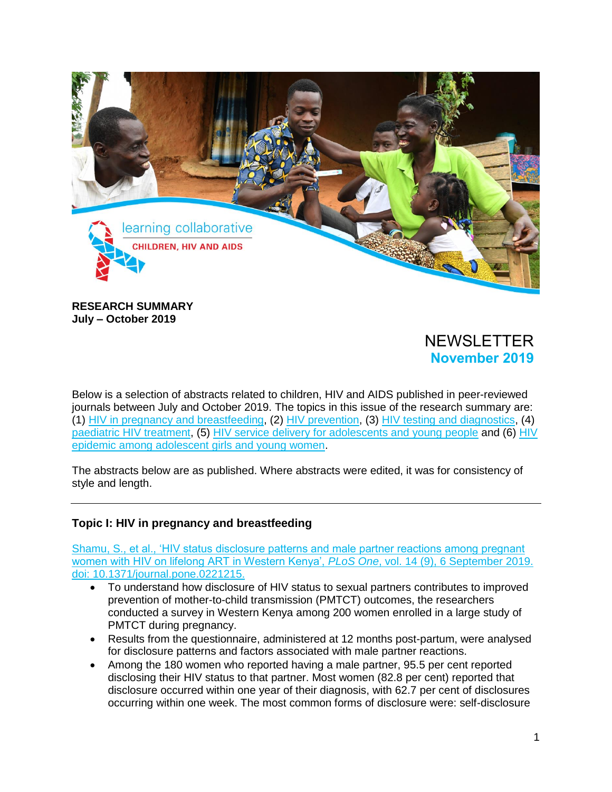

**RESEARCH SUMMARY July – October 2019** 

# NEWSLETTER **November 2019**

Below is a selection of abstracts related to children, HIV and AIDS published in peer-reviewed journals between July and October 2019. The topics in this issue of the research summary are: (1) [HIV in pregnancy](#page-0-0) and breastfeeding, (2) [HIV prevention,](#page-3-0) (3) [HIV testing and diagnostics,](#page-6-0) (4) [paediatric HIV treatment,](#page-8-0) (5) HIV [service delivery](#page-10-0) for adolescents and young people and (6) HIV [epidemic among adolescent girls and young women.](#page-13-0)

The abstracts below are as published. Where abstracts were edited, it was for consistency of style and length.

### <span id="page-0-0"></span>**Topic I: HIV in pregnancy and breastfeeding**

Shamu, [S., et al., 'HIV status disclosure patterns and male partner reactions among pregnant](https://www.ncbi.nlm.nih.gov/pubmed/31488026)  [women with HIV on lifelong ART in Western Kenya',](https://www.ncbi.nlm.nih.gov/pubmed/31488026) *PLoS One*, vol. 14 (9), 6 September 2019. [doi: 10.1371/journal.pone.0221215.](https://www.ncbi.nlm.nih.gov/pubmed/31488026)

- To understand how disclosure of HIV status to sexual partners contributes to improved prevention of mother-to-child transmission (PMTCT) outcomes, the researchers conducted a survey in Western Kenya among 200 women enrolled in a large study of PMTCT during pregnancy.
- Results from the questionnaire, administered at 12 months post-partum, were analysed for disclosure patterns and factors associated with male partner reactions.
- Among the 180 women who reported having a male partner, 95.5 per cent reported disclosing their HIV status to that partner. Most women (82.8 per cent) reported that disclosure occurred within one year of their diagnosis, with 62.7 per cent of disclosures occurring within one week. The most common forms of disclosure were: self-disclosure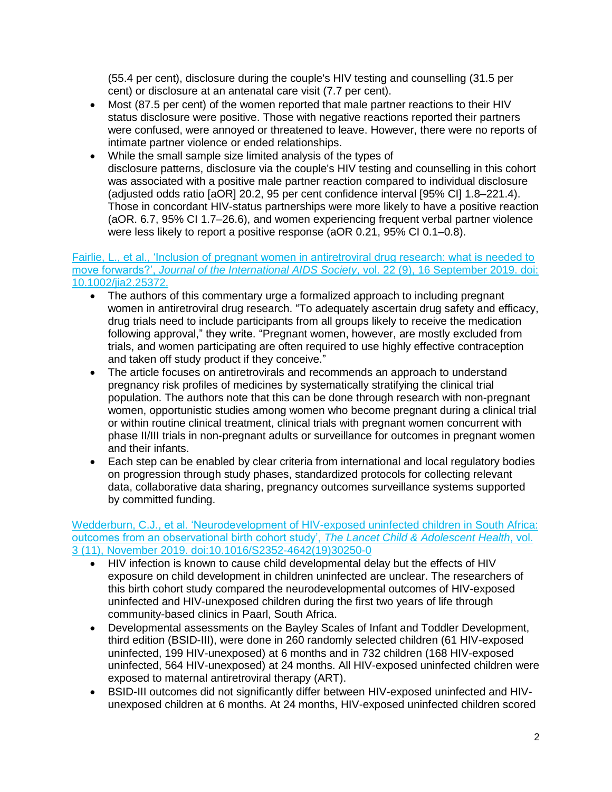(55.4 per cent), disclosure during the couple's HIV testing and counselling (31.5 per cent) or disclosure at an antenatal care visit (7.7 per cent).

- Most (87.5 per cent) of the women reported that male partner reactions to their HIV status disclosure were positive. Those with negative reactions reported their partners were confused, were annoyed or threatened to leave. However, there were no reports of intimate partner violence or ended relationships.
- While the small sample size limited analysis of the types of disclosure patterns, disclosure via the couple's HIV testing and counselling in this cohort was associated with a positive male partner reaction compared to individual disclosure (adjusted odds ratio [aOR] 20.2, 95 per cent confidence interval [95% CI] 1.8–221.4). Those in concordant HIV-status partnerships were more likely to have a positive reaction (aOR. 6.7, 95% CI 1.7–26.6), and women experiencing frequent verbal partner violence were less likely to report a positive response (aOR 0.21, 95% CI 0.1–0.8).

#### Fairlie, [L., et al., 'Inclusion of pregnant women in antiretroviral drug research: what is needed to](https://www.ncbi.nlm.nih.gov/pubmed/31529598)  move forwards?', *[Journal of the International AIDS Society](https://www.ncbi.nlm.nih.gov/pubmed/31529598)*, vol. 22 (9), 16 September 2019. doi: [10.1002/jia2.25372.](https://www.ncbi.nlm.nih.gov/pubmed/31529598)

- The authors of this commentary urge a formalized approach to including pregnant women in antiretroviral drug research. "To adequately ascertain drug safety and efficacy, drug trials need to include participants from all groups likely to receive the medication following approval," they write. "Pregnant women, however, are mostly excluded from trials, and women participating are often required to use highly effective contraception and taken off study product if they conceive."
- The article focuses on antiretrovirals and recommends an approach to understand pregnancy risk profiles of medicines by systematically stratifying the clinical trial population. The authors note that this can be done through research with non-pregnant women, opportunistic studies among women who become pregnant during a clinical trial or within routine clinical treatment, clinical trials with pregnant women concurrent with phase II/III trials in non-pregnant adults or surveillance for outcomes in pregnant women and their infants.
- Each step can be enabled by clear criteria from international and local regulatory bodies on progression through study phases, standardized protocols for collecting relevant data, collaborative data sharing, pregnancy outcomes surveillance systems supported by committed funding.

#### [Wedderburn, C.J., et al. 'Neurodevelopment of HIV-exposed uninfected children in South Africa:](https://doi.org/10.1016/S2352-4642(19)30250-0)  [outcomes from an observational birth cohort study',](https://doi.org/10.1016/S2352-4642(19)30250-0) *The Lancet Child & Adolescent Health*, vol. [3 \(11\), November 2019. doi:10.1016/S2352-4642\(19\)30250-0](https://doi.org/10.1016/S2352-4642(19)30250-0)

- HIV infection is known to cause child developmental delay but the effects of HIV exposure on child development in children uninfected are unclear. The researchers of this birth cohort study compared the neurodevelopmental outcomes of HIV-exposed uninfected and HIV-unexposed children during the first two years of life through community-based clinics in Paarl, South Africa.
- Developmental assessments on the Bayley Scales of Infant and Toddler Development, third edition (BSID-III), were done in 260 randomly selected children (61 HIV-exposed uninfected, 199 HIV-unexposed) at 6 months and in 732 children (168 HIV-exposed uninfected, 564 HIV-unexposed) at 24 months. All HIV-exposed uninfected children were exposed to maternal antiretroviral therapy (ART).
- BSID-III outcomes did not significantly differ between HIV-exposed uninfected and HIVunexposed children at 6 months. At 24 months, HIV-exposed uninfected children scored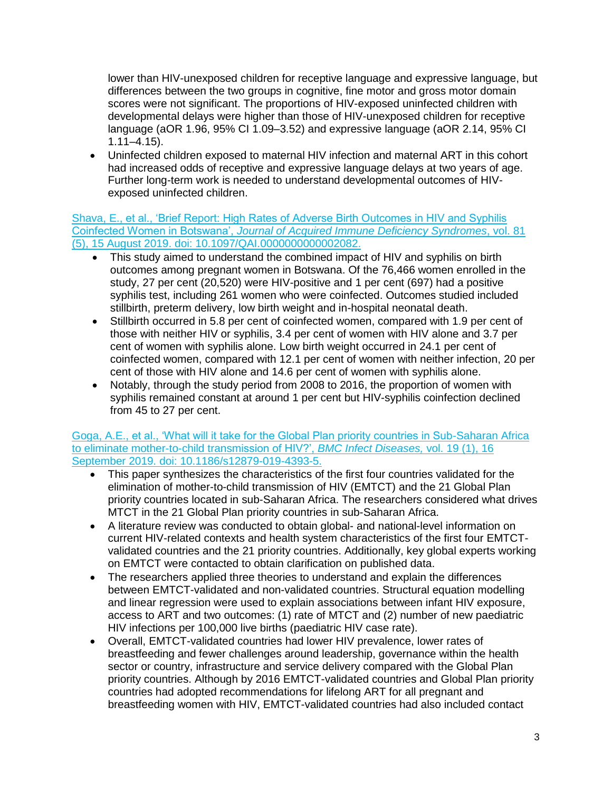lower than HIV-unexposed children for receptive language and expressive language, but differences between the two groups in cognitive, fine motor and gross motor domain scores were not significant. The proportions of HIV-exposed uninfected children with developmental delays were higher than those of HIV-unexposed children for receptive language (aOR 1.96, 95% CI 1.09–3.52) and expressive language (aOR 2.14, 95% CI 1.11–4.15).

• Uninfected children exposed to maternal HIV infection and maternal ART in this cohort had increased odds of receptive and expressive language delays at two years of age. Further long-term work is needed to understand developmental outcomes of HIVexposed uninfected children.

[Shava, E., et al., 'Brief Report: High Rates of Adverse Birth Outcomes in HIV and Syphilis](https://www.ncbi.nlm.nih.gov/pubmed/31295173)  Coinfected Women in Botswana', *[Journal of Acquired Immune Deficiency Syndromes](https://www.ncbi.nlm.nih.gov/pubmed/31295173)*, vol. 81 [\(5\), 15 August 2019. doi: 10.1097/QAI.0000000000002082.](https://www.ncbi.nlm.nih.gov/pubmed/31295173)

- This study aimed to understand the combined impact of HIV and syphilis on birth outcomes among pregnant women in Botswana. Of the 76,466 women enrolled in the study, 27 per cent (20,520) were HIV-positive and 1 per cent (697) had a positive syphilis test, including 261 women who were coinfected. Outcomes studied included stillbirth, preterm delivery, low birth weight and in-hospital neonatal death.
- Stillbirth occurred in 5.8 per cent of coinfected women, compared with 1.9 per cent of those with neither HIV or syphilis, 3.4 per cent of women with HIV alone and 3.7 per cent of women with syphilis alone. Low birth weight occurred in 24.1 per cent of coinfected women, compared with 12.1 per cent of women with neither infection, 20 per cent of those with HIV alone and 14.6 per cent of women with syphilis alone.
- Notably, through the study period from 2008 to 2016, the proportion of women with syphilis remained constant at around 1 per cent but HIV-syphilis coinfection declined from 45 to 27 per cent.

Goga, [A.E., et al., 'What will it take for the Global Plan priority countries in Sub-Saharan Africa](https://www.ncbi.nlm.nih.gov/pubmed/31526371)  [to eliminate mother-to-child transmission of HIV?',](https://www.ncbi.nlm.nih.gov/pubmed/31526371) *BMC Infect Diseases,* vol. 19 (1), 16 [September 2019. doi: 10.1186/s12879-019-4393-5.](https://www.ncbi.nlm.nih.gov/pubmed/31526371)

- This paper synthesizes the characteristics of the first four countries validated for the elimination of mother-to-child transmission of HIV (EMTCT) and the 21 Global Plan priority countries located in sub-Saharan Africa. The researchers considered what drives MTCT in the 21 Global Plan priority countries in sub-Saharan Africa.
- A literature review was conducted to obtain global- and national-level information on current HIV-related contexts and health system characteristics of the first four EMTCTvalidated countries and the 21 priority countries. Additionally, key global experts working on EMTCT were contacted to obtain clarification on published data.
- The researchers applied three theories to understand and explain the differences between EMTCT-validated and non-validated countries. Structural equation modelling and linear regression were used to explain associations between infant HIV exposure, access to ART and two outcomes: (1) rate of MTCT and (2) number of new paediatric HIV infections per 100,000 live births (paediatric HIV case rate).
- Overall, EMTCT-validated countries had lower HIV prevalence, lower rates of breastfeeding and fewer challenges around leadership, governance within the health sector or country, infrastructure and service delivery compared with the Global Plan priority countries. Although by 2016 EMTCT-validated countries and Global Plan priority countries had adopted recommendations for lifelong ART for all pregnant and breastfeeding women with HIV, EMTCT-validated countries had also included contact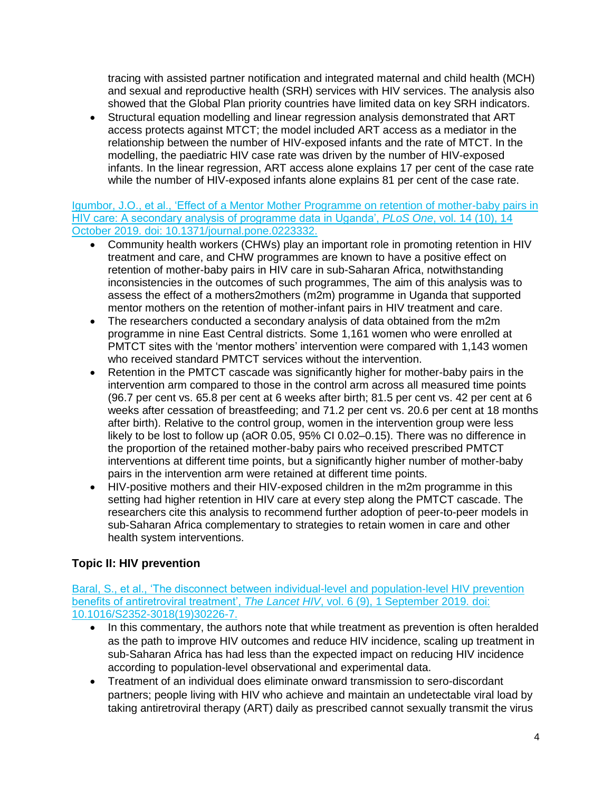tracing with assisted partner notification and integrated maternal and child health (MCH) and sexual and reproductive health (SRH) services with HIV services. The analysis also showed that the Global Plan priority countries have limited data on key SRH indicators.

• Structural equation modelling and linear regression analysis demonstrated that ART access protects against MTCT; the model included ART access as a mediator in the relationship between the number of HIV-exposed infants and the rate of MTCT. In the modelling, the paediatric HIV case rate was driven by the number of HIV-exposed infants. In the linear regression, ART access alone explains 17 per cent of the case rate while the number of HIV-exposed infants alone explains 81 per cent of the case rate.

[Igumbor, J.O., et al., 'Effect of a Mentor Mother Programme on retention of mother-baby pairs in](https://www.ncbi.nlm.nih.gov/pubmed/31609974)  [HIV care: A secondary analysis of programme data in Uganda',](https://www.ncbi.nlm.nih.gov/pubmed/31609974) *PLoS One*, vol. 14 (10), 14 [October 2019. doi: 10.1371/journal.pone.0223332.](https://www.ncbi.nlm.nih.gov/pubmed/31609974) 

- Community health workers (CHWs) play an important role in promoting retention in HIV treatment and care, and CHW programmes are known to have a positive effect on retention of mother-baby pairs in HIV care in sub-Saharan Africa, notwithstanding inconsistencies in the outcomes of such programmes, The aim of this analysis was to assess the effect of a mothers2mothers (m2m) programme in Uganda that supported mentor mothers on the retention of mother-infant pairs in HIV treatment and care.
- The researchers conducted a secondary analysis of data obtained from the m2m programme in nine East Central districts. Some 1,161 women who were enrolled at PMTCT sites with the 'mentor mothers' intervention were compared with 1,143 women who received standard PMTCT services without the intervention.
- Retention in the PMTCT cascade was significantly higher for mother-baby pairs in the intervention arm compared to those in the control arm across all measured time points (96.7 per cent vs. 65.8 per cent at 6 weeks after birth; 81.5 per cent vs. 42 per cent at 6 weeks after cessation of breastfeeding; and 71.2 per cent vs. 20.6 per cent at 18 months after birth). Relative to the control group, women in the intervention group were less likely to be lost to follow up (aOR 0.05, 95% CI 0.02–0.15). There was no difference in the proportion of the retained mother-baby pairs who received prescribed PMTCT interventions at different time points, but a significantly higher number of mother-baby pairs in the intervention arm were retained at different time points.
- HIV-positive mothers and their HIV-exposed children in the m2m programme in this setting had higher retention in HIV care at every step along the PMTCT cascade. The researchers cite this analysis to recommend further adoption of peer-to-peer models in sub-Saharan Africa complementary to strategies to retain women in care and other health system interventions.

# <span id="page-3-0"></span>**Topic II: HIV prevention**

Baral, [S., et al., 'The disconnect between individual-level and population-level HIV prevention](https://www.thelancet.com/journals/lanhiv/article/PIIS2352-3018(19)30226-7/fulltext)  [benefits of antiretroviral treatment',](https://www.thelancet.com/journals/lanhiv/article/PIIS2352-3018(19)30226-7/fulltext) *The Lancet HIV*, vol. 6 (9), 1 September 2019. doi: [10.1016/S2352-3018\(19\)30226-7.](https://www.thelancet.com/journals/lanhiv/article/PIIS2352-3018(19)30226-7/fulltext)

- In this commentary, the authors note that while treatment as prevention is often heralded as the path to improve HIV outcomes and reduce HIV incidence, scaling up treatment in sub-Saharan Africa has had less than the expected impact on reducing HIV incidence according to population-level observational and experimental data.
- Treatment of an individual does eliminate onward transmission to sero-discordant partners; people living with HIV who achieve and maintain an undetectable viral load by taking antiretroviral therapy (ART) daily as prescribed cannot sexually transmit the virus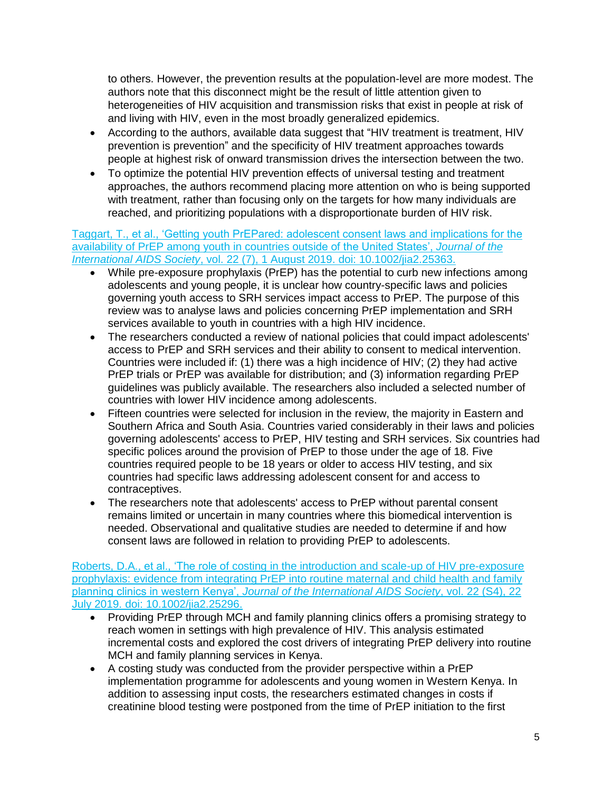to others. However, the prevention results at the population-level are more modest. The authors note that this disconnect might be the result of little attention given to heterogeneities of HIV acquisition and transmission risks that exist in people at risk of and living with HIV, even in the most broadly generalized epidemics.

- According to the authors, available data suggest that "HIV treatment is treatment, HIV prevention is prevention" and the specificity of HIV treatment approaches towards people at highest risk of onward transmission drives the intersection between the two.
- To optimize the potential HIV prevention effects of universal testing and treatment approaches, the authors recommend placing more attention on who is being supported with treatment, rather than focusing only on the targets for how many individuals are reached, and prioritizing populations with a disproportionate burden of HIV risk.

Taggart, [T., et al., 'Getting youth PrEPared: adolescent consent laws and implications for the](https://www.ncbi.nlm.nih.gov/pubmed/31369211)  [availability of PrEP among youth in countries outside of the United States',](https://www.ncbi.nlm.nih.gov/pubmed/31369211) *Journal of the International AIDS Society*[, vol. 22 \(7\), 1 August 2019. doi: 10.1002/jia2.25363.](https://www.ncbi.nlm.nih.gov/pubmed/31369211)

- While pre-exposure prophylaxis (PrEP) has the potential to curb new infections among adolescents and young people, it is unclear how country-specific laws and policies governing youth access to SRH services impact access to PrEP. The purpose of this review was to analyse laws and policies concerning PrEP implementation and SRH services available to youth in countries with a high HIV incidence.
- The researchers conducted a review of national policies that could impact adolescents' access to PrEP and SRH services and their ability to consent to medical intervention. Countries were included if: (1) there was a high incidence of  $HIV$ ; (2) they had active PrEP trials or PrEP was available for distribution; and (3) information regarding PrEP guidelines was publicly available. The researchers also included a selected number of countries with lower HIV incidence among adolescents.
- Fifteen countries were selected for inclusion in the review, the majority in Eastern and Southern Africa and South Asia. Countries varied considerably in their laws and policies governing adolescents' access to PrEP, HIV testing and SRH services. Six countries had specific polices around the provision of PrEP to those under the age of 18. Five countries required people to be 18 years or older to access HIV testing, and six countries had specific laws addressing adolescent consent for and access to contraceptives.
- The researchers note that adolescents' access to PrEP without parental consent remains limited or uncertain in many countries where this biomedical intervention is needed. Observational and qualitative studies are needed to determine if and how consent laws are followed in relation to providing PrEP to adolescents.

[Roberts, D.A., et al., 'The role of costing in the introduction and scale-up of HIV pre-exposure](https://www.ncbi.nlm.nih.gov/pubmed/31328443)  [prophylaxis: evidence from integrating PrEP into routine maternal and child health and family](https://www.ncbi.nlm.nih.gov/pubmed/31328443)  planning clinics in western Kenya', *[Journal of the International AIDS Society](https://www.ncbi.nlm.nih.gov/pubmed/31328443)*, vol. 22 (S4), 22 [July 2019. doi: 10.1002/jia2.25296.](https://www.ncbi.nlm.nih.gov/pubmed/31328443)

- Providing PrEP through MCH and family planning clinics offers a promising strategy to reach women in settings with high prevalence of HIV. This analysis estimated incremental costs and explored the cost drivers of integrating PrEP delivery into routine MCH and family planning services in Kenya.
- A costing study was conducted from the provider perspective within a PrEP implementation programme for adolescents and young women in Western Kenya. In addition to assessing input costs, the researchers estimated changes in costs if creatinine blood testing were postponed from the time of PrEP initiation to the first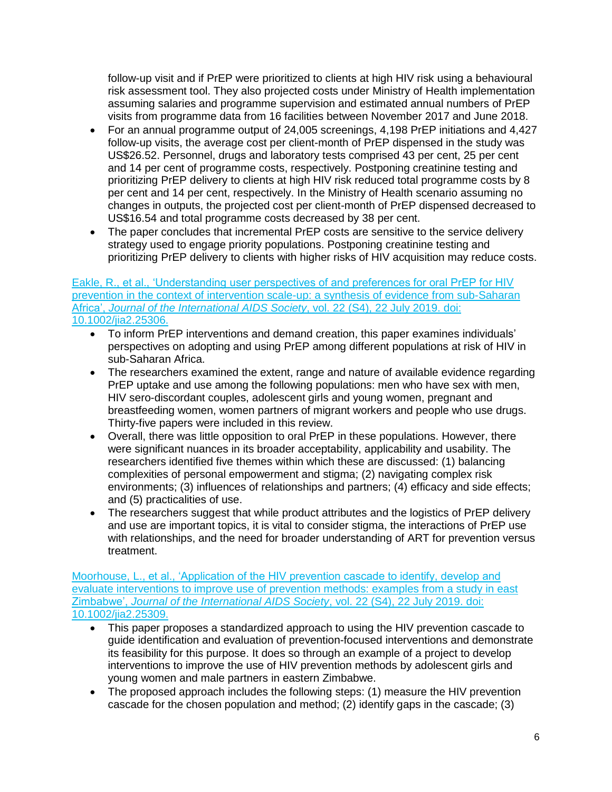follow-up visit and if PrEP were prioritized to clients at high HIV risk using a behavioural risk assessment tool. They also projected costs under Ministry of Health implementation assuming salaries and programme supervision and estimated annual numbers of PrEP visits from programme data from 16 facilities between November 2017 and June 2018.

- For an annual programme output of 24,005 screenings, 4,198 PrEP initiations and 4,427 follow-up visits, the average cost per client-month of PrEP dispensed in the study was US\$26.52. Personnel, drugs and laboratory tests comprised 43 per cent, 25 per cent and 14 per cent of programme costs, respectively. Postponing creatinine testing and prioritizing PrEP delivery to clients at high HIV risk reduced total programme costs by 8 per cent and 14 per cent, respectively. In the Ministry of Health scenario assuming no changes in outputs, the projected cost per client-month of PrEP dispensed decreased to US\$16.54 and total programme costs decreased by 38 per cent.
- The paper concludes that incremental PrEP costs are sensitive to the service delivery strategy used to engage priority populations. Postponing creatinine testing and prioritizing PrEP delivery to clients with higher risks of HIV acquisition may reduce costs.

#### [Eakle, R., et al., 'Understanding user perspectives of and preferences for oral PrEP for HIV](https://www.ncbi.nlm.nih.gov/pubmed/31328429)  [prevention in the context of intervention scale-up: a synthesis of evidence from sub-Saharan](https://www.ncbi.nlm.nih.gov/pubmed/31328429)  Africa', *[Journal of the International AIDS Society](https://www.ncbi.nlm.nih.gov/pubmed/31328429)*, vol. 22 (S4), 22 July 2019. doi: [10.1002/jia2.25306.](https://www.ncbi.nlm.nih.gov/pubmed/31328429)

- To inform PrEP interventions and demand creation, this paper examines individuals' perspectives on adopting and using PrEP among different populations at risk of HIV in sub-Saharan Africa.
- The researchers examined the extent, range and nature of available evidence regarding PrEP uptake and use among the following populations: men who have sex with men, HIV sero-discordant couples, adolescent girls and young women, pregnant and breastfeeding women, women partners of migrant workers and people who use drugs. Thirty-five papers were included in this review.
- Overall, there was little opposition to oral PrEP in these populations. However, there were significant nuances in its broader acceptability, applicability and usability. The researchers identified five themes within which these are discussed: (1) balancing complexities of personal empowerment and stigma; (2) navigating complex risk environments; (3) influences of relationships and partners; (4) efficacy and side effects; and (5) practicalities of use.
- The researchers suggest that while product attributes and the logistics of PrEP delivery and use are important topics, it is vital to consider stigma, the interactions of PrEP use with relationships, and the need for broader understanding of ART for prevention versus treatment.

[Moorhouse, L., et al., 'Application of the HIV prevention cascade to identify, develop and](https://www.ncbi.nlm.nih.gov/pubmed/31328375)  [evaluate interventions to improve use of prevention methods: examples from a study in east](https://www.ncbi.nlm.nih.gov/pubmed/31328375)  Zimbabwe', *[Journal of the International AIDS Society](https://www.ncbi.nlm.nih.gov/pubmed/31328375)*, vol. 22 (S4), 22 July 2019. doi: [10.1002/jia2.25309.](https://www.ncbi.nlm.nih.gov/pubmed/31328375)

- This paper proposes a standardized approach to using the HIV prevention cascade to guide identification and evaluation of prevention-focused interventions and demonstrate its feasibility for this purpose. It does so through an example of a project to develop interventions to improve the use of HIV prevention methods by adolescent girls and young women and male partners in eastern Zimbabwe.
- The proposed approach includes the following steps: (1) measure the HIV prevention cascade for the chosen population and method; (2) identify gaps in the cascade; (3)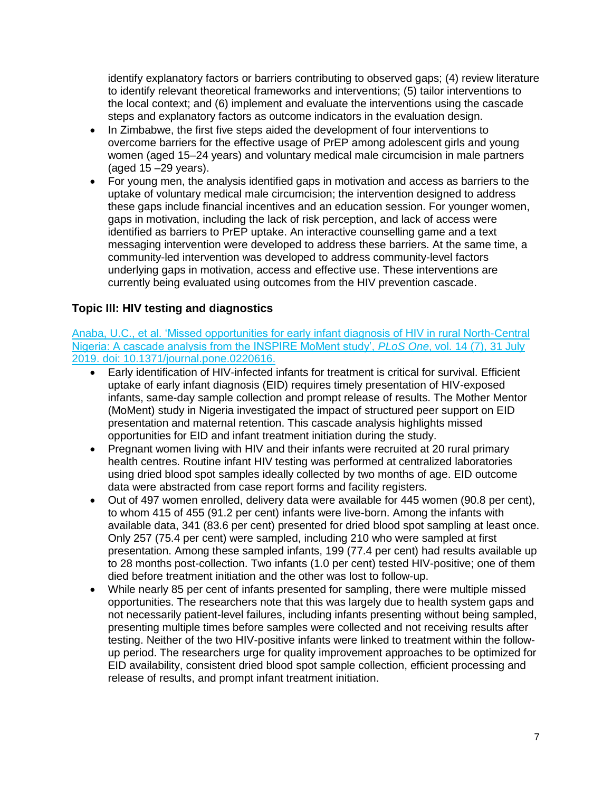identify explanatory factors or barriers contributing to observed gaps; (4) review literature to identify relevant theoretical frameworks and interventions; (5) tailor interventions to the local context; and (6) implement and evaluate the interventions using the cascade steps and explanatory factors as outcome indicators in the evaluation design.

- In Zimbabwe, the first five steps aided the development of four interventions to overcome barriers for the effective usage of PrEP among adolescent girls and young women (aged 15–24 years) and voluntary medical male circumcision in male partners (aged 15 –29 years).
- For young men, the analysis identified gaps in motivation and access as barriers to the uptake of voluntary medical male circumcision; the intervention designed to address these gaps include financial incentives and an education session. For younger women, gaps in motivation, including the lack of risk perception, and lack of access were identified as barriers to PrEP uptake. An interactive counselling game and a text messaging intervention were developed to address these barriers. At the same time, a community-led intervention was developed to address community-level factors underlying gaps in motivation, access and effective use. These interventions are currently being evaluated using outcomes from the HIV prevention cascade.

# <span id="page-6-0"></span>**Topic III: HIV testing and diagnostics**

[Anaba, U.C., et al. 'Missed opportunities for early infant diagnosis of HIV in rural North-Central](mailto:https://www.ncbi.nlm.nih.gov/pubmed/31365571)  [Nigeria: A cascade analysis from the INSPIRE MoMent study',](mailto:https://www.ncbi.nlm.nih.gov/pubmed/31365571) *PLoS One*, vol. 14 (7), 31 July [2019. doi: 10.1371/journal.pone.0220616.](mailto:https://www.ncbi.nlm.nih.gov/pubmed/31365571)

- Early identification of HIV-infected infants for treatment is critical for survival. Efficient uptake of early infant diagnosis (EID) requires timely presentation of HIV-exposed infants, same-day sample collection and prompt release of results. The Mother Mentor (MoMent) study in Nigeria investigated the impact of structured peer support on EID presentation and maternal retention. This cascade analysis highlights missed opportunities for EID and infant treatment initiation during the study.
- Pregnant women living with HIV and their infants were recruited at 20 rural primary health centres. Routine infant HIV testing was performed at centralized laboratories using dried blood spot samples ideally collected by two months of age. EID outcome data were abstracted from case report forms and facility registers.
- Out of 497 women enrolled, delivery data were available for 445 women (90.8 per cent), to whom 415 of 455 (91.2 per cent) infants were live-born. Among the infants with available data, 341 (83.6 per cent) presented for dried blood spot sampling at least once. Only 257 (75.4 per cent) were sampled, including 210 who were sampled at first presentation. Among these sampled infants, 199 (77.4 per cent) had results available up to 28 months post-collection. Two infants (1.0 per cent) tested HIV-positive; one of them died before treatment initiation and the other was lost to follow-up.
- While nearly 85 per cent of infants presented for sampling, there were multiple missed opportunities. The researchers note that this was largely due to health system gaps and not necessarily patient-level failures, including infants presenting without being sampled, presenting multiple times before samples were collected and not receiving results after testing. Neither of the two HIV-positive infants were linked to treatment within the followup period. The researchers urge for quality improvement approaches to be optimized for EID availability, consistent dried blood spot sample collection, efficient processing and release of results, and prompt infant treatment initiation.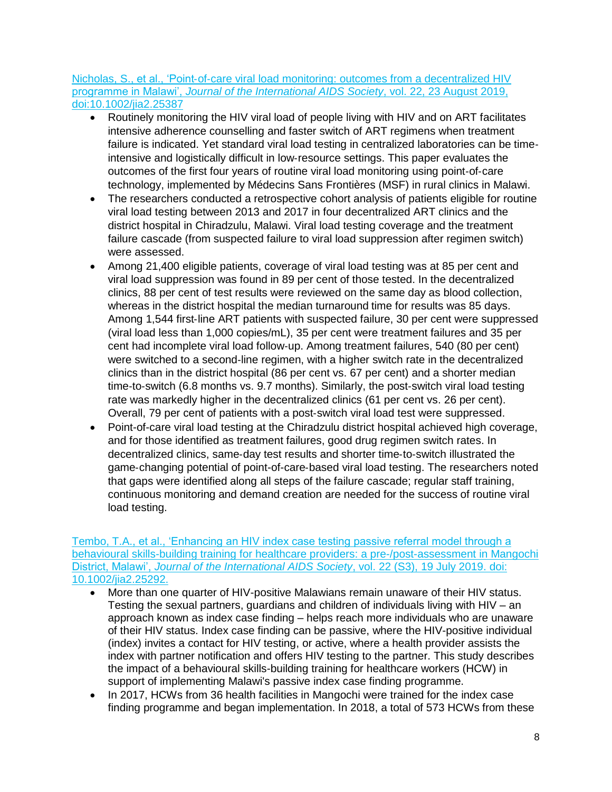### Nicholas, S., et al., 'Point‐of‐[care viral load monitoring: outcomes from a decentralized HIV](https://doi.org/10.1002/jia2.25387)  programme in Malawi', *[Journal of the International AIDS Society](https://doi.org/10.1002/jia2.25387)*, vol. 22, 23 August 2019, [doi:10.1002/jia2.25387](https://doi.org/10.1002/jia2.25387)

- Routinely monitoring the HIV viral load of people living with HIV and on ART facilitates intensive adherence counselling and faster switch of ART regimens when treatment failure is indicated. Yet standard viral load testing in centralized laboratories can be time‐ intensive and logistically difficult in low‐resource settings. This paper evaluates the outcomes of the first four years of routine viral load monitoring using point‐of‐care technology, implemented by Médecins Sans Frontières (MSF) in rural clinics in Malawi.
- The researchers conducted a retrospective cohort analysis of patients eligible for routine viral load testing between 2013 and 2017 in four decentralized ART clinics and the district hospital in Chiradzulu, Malawi. Viral load testing coverage and the treatment failure cascade (from suspected failure to viral load suppression after regimen switch) were assessed.
- Among 21,400 eligible patients, coverage of viral load testing was at 85 per cent and viral load suppression was found in 89 per cent of those tested. In the decentralized clinics, 88 per cent of test results were reviewed on the same day as blood collection, whereas in the district hospital the median turnaround time for results was 85 days. Among 1,544 first‐line ART patients with suspected failure, 30 per cent were suppressed (viral load less than 1,000 copies/mL), 35 per cent were treatment failures and 35 per cent had incomplete viral load follow‐up. Among treatment failures, 540 (80 per cent) were switched to a second-line regimen, with a higher switch rate in the decentralized clinics than in the district hospital (86 per cent vs. 67 per cent) and a shorter median time-to-switch (6.8 months vs. 9.7 months). Similarly, the post-switch viral load testing rate was markedly higher in the decentralized clinics (61 per cent vs. 26 per cent). Overall, 79 per cent of patients with a post‐switch viral load test were suppressed.
- Point-of-care viral load testing at the Chiradzulu district hospital achieved high coverage, and for those identified as treatment failures, good drug regimen switch rates. In decentralized clinics, same‐day test results and shorter time‐to‐switch illustrated the game-changing potential of point-of-care-based viral load testing. The researchers noted that gaps were identified along all steps of the failure cascade; regular staff training, continuous monitoring and demand creation are needed for the success of routine viral load testing.

#### [Tembo, T.A., et al., 'Enhancing an HIV index case testing passive referral model through a](https://www.ncbi.nlm.nih.gov/pubmed/31321917)  [behavioural skills-building training for healthcare providers: a pre-/post-assessment in Mangochi](https://www.ncbi.nlm.nih.gov/pubmed/31321917)  District, Malawi', *[Journal of the International AIDS Society](https://www.ncbi.nlm.nih.gov/pubmed/31321917)*, vol. 22 (S3), 19 July 2019. doi: [10.1002/jia2.25292.](https://www.ncbi.nlm.nih.gov/pubmed/31321917)

- More than one quarter of HIV-positive Malawians remain unaware of their HIV status. Testing the sexual partners, guardians and children of individuals living with HIV – an approach known as index case finding – helps reach more individuals who are unaware of their HIV status. Index case finding can be passive, where the HIV-positive individual (index) invites a contact for HIV testing, or active, where a health provider assists the index with partner notification and offers HIV testing to the partner. This study describes the impact of a behavioural skills-building training for healthcare workers (HCW) in support of implementing Malawi's passive index case finding programme.
- In 2017, HCWs from 36 health facilities in Mangochi were trained for the index case finding programme and began implementation. In 2018, a total of 573 HCWs from these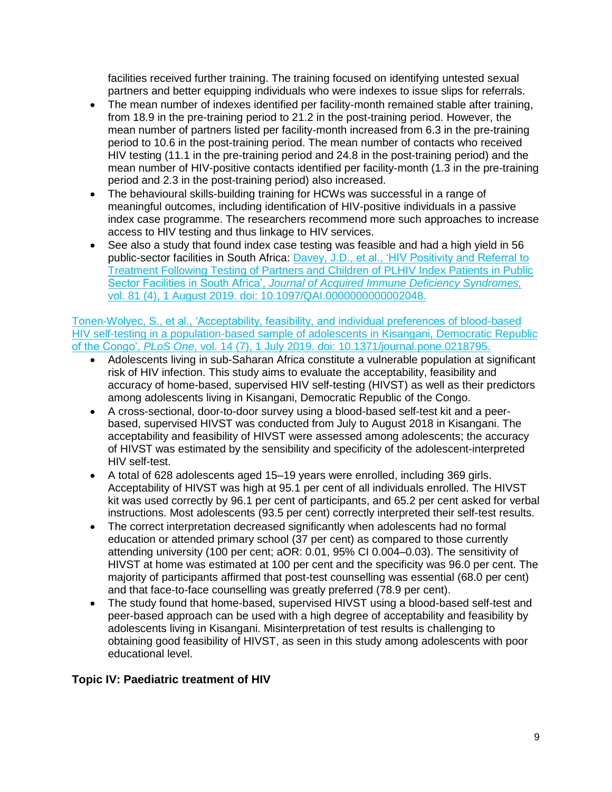facilities received further training. The training focused on identifying untested sexual partners and better equipping individuals who were indexes to issue slips for referrals.

- The mean number of indexes identified per facility-month remained stable after training, from 18.9 in the pre-training period to 21.2 in the post-training period. However, the mean number of partners listed per facility-month increased from 6.3 in the pre-training period to 10.6 in the post-training period. The mean number of contacts who received HIV testing (11.1 in the pre-training period and 24.8 in the post-training period) and the mean number of HIV-positive contacts identified per facility-month (1.3 in the pre-training period and 2.3 in the post-training period) also increased.
- The behavioural skills-building training for HCWs was successful in a range of meaningful outcomes, including identification of HIV-positive individuals in a passive index case programme. The researchers recommend more such approaches to increase access to HIV testing and thus linkage to HIV services.
- See also a study that found index case testing was feasible and had a high yield in 56 public-sector facilities in South Africa: [Davey, J.D., et al., 'HIV Positivity and Referral to](https://www.ncbi.nlm.nih.gov/pubmed/30973546)  [Treatment Following Testing of Partners and Children of PLHIV Index Patients in Public](https://www.ncbi.nlm.nih.gov/pubmed/30973546)  Sector Facilities in South Africa', *[Journal of Acquired Immune Deficiency Syndromes,](https://www.ncbi.nlm.nih.gov/pubmed/30973546)*  [vol. 81 \(4\), 1 August 2019. doi: 10.1097/QAI.0000000000002048.](https://www.ncbi.nlm.nih.gov/pubmed/30973546)

[Tonen-Wolyec, S., et al., 'Acceptability, feasibility, and individual preferences of blood-based](https://www.ncbi.nlm.nih.gov/pubmed/31260480)  [HIV self-testing in a population-based sample of adolescents in Kisangani, Democratic Republic](https://www.ncbi.nlm.nih.gov/pubmed/31260480)  of the Congo', *PLoS One*[, vol. 14 \(7\), 1 July 2019. doi: 10.1371/journal.pone.0218795.](https://www.ncbi.nlm.nih.gov/pubmed/31260480) 

- Adolescents living in sub-Saharan Africa constitute a vulnerable population at significant risk of HIV infection. This study aims to evaluate the acceptability, feasibility and accuracy of home-based, supervised HIV self-testing (HIVST) as well as their predictors among adolescents living in Kisangani, Democratic Republic of the Congo.
- A cross-sectional, door-to-door survey using a blood-based self-test kit and a peerbased, supervised HIVST was conducted from July to August 2018 in Kisangani. The acceptability and feasibility of HIVST were assessed among adolescents; the accuracy of HIVST was estimated by the sensibility and specificity of the adolescent-interpreted HIV self-test.
- A total of 628 adolescents aged 15–19 years were enrolled, including 369 girls. Acceptability of HIVST was high at 95.1 per cent of all individuals enrolled. The HIVST kit was used correctly by 96.1 per cent of participants, and 65.2 per cent asked for verbal instructions. Most adolescents (93.5 per cent) correctly interpreted their self-test results.
- The correct interpretation decreased significantly when adolescents had no formal education or attended primary school (37 per cent) as compared to those currently attending university (100 per cent; aOR: 0.01, 95% CI 0.004–0.03). The sensitivity of HIVST at home was estimated at 100 per cent and the specificity was 96.0 per cent. The majority of participants affirmed that post-test counselling was essential (68.0 per cent) and that face-to-face counselling was greatly preferred (78.9 per cent).
- The study found that home-based, supervised HIVST using a blood-based self-test and peer-based approach can be used with a high degree of acceptability and feasibility by adolescents living in Kisangani. Misinterpretation of test results is challenging to obtaining good feasibility of HIVST, as seen in this study among adolescents with poor educational level.

# <span id="page-8-0"></span>**Topic IV: Paediatric treatment of HIV**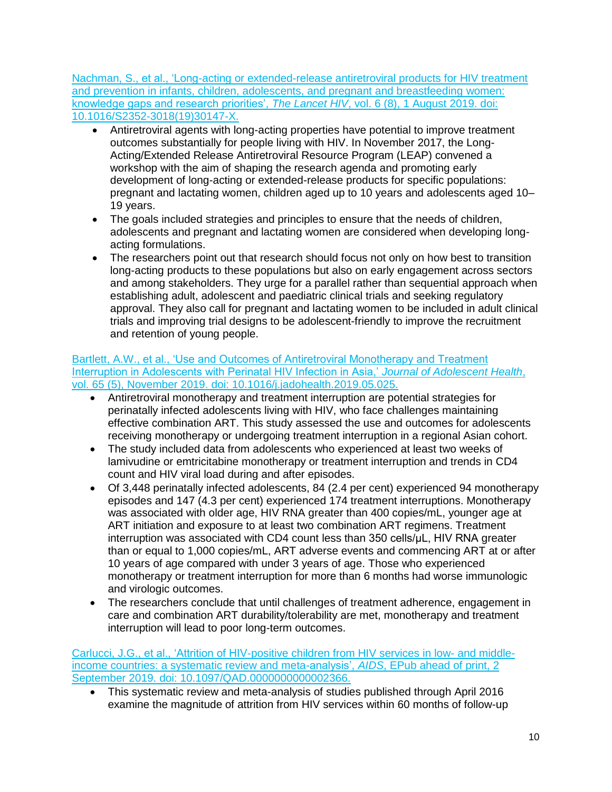Nachman, [S., et al., 'Long-acting or extended-release antiretroviral products for HIV treatment](https://www.ncbi.nlm.nih.gov/pubmed/31307946)  [and prevention in infants, children, adolescents, and pregnant and breastfeeding women:](https://www.ncbi.nlm.nih.gov/pubmed/31307946)  [knowledge gaps and research priorities',](https://www.ncbi.nlm.nih.gov/pubmed/31307946) *The Lancet HIV*, vol. 6 (8), 1 August 2019. doi: [10.1016/S2352-3018\(19\)30147-X.](https://www.ncbi.nlm.nih.gov/pubmed/31307946) 

- Antiretroviral agents with long-acting properties have potential to improve treatment outcomes substantially for people living with HIV. In November 2017, the Long-Acting/Extended Release Antiretroviral Resource Program (LEAP) convened a workshop with the aim of shaping the research agenda and promoting early development of long-acting or extended-release products for specific populations: pregnant and lactating women, children aged up to 10 years and adolescents aged 10– 19 years.
- The goals included strategies and principles to ensure that the needs of children, adolescents and pregnant and lactating women are considered when developing longacting formulations.
- The researchers point out that research should focus not only on how best to transition long-acting products to these populations but also on early engagement across sectors and among stakeholders. They urge for a parallel rather than sequential approach when establishing adult, adolescent and paediatric clinical trials and seeking regulatory approval. They also call for pregnant and lactating women to be included in adult clinical trials and improving trial designs to be adolescent-friendly to improve the recruitment and retention of young people.

### Bartlett, [A.W., et al., 'Use and Outcomes of Antiretroviral Monotherapy and Treatment](https://www.ncbi.nlm.nih.gov/pubmed/31395514)  [Interruption in Adolescents with Perinatal HIV Infection in Asia,'](https://www.ncbi.nlm.nih.gov/pubmed/31395514) *Journal of Adolescent Health*, [vol. 65 \(5\), November 2019. doi: 10.1016/j.jadohealth.2019.05.025.](https://www.ncbi.nlm.nih.gov/pubmed/31395514)

- Antiretroviral monotherapy and treatment interruption are potential strategies for perinatally infected adolescents living with HIV, who face challenges maintaining effective combination ART. This study assessed the use and outcomes for adolescents receiving monotherapy or undergoing treatment interruption in a regional Asian cohort.
- The study included data from adolescents who experienced at least two weeks of lamivudine or emtricitabine monotherapy or treatment interruption and trends in CD4 count and HIV viral load during and after episodes.
- Of 3,448 perinatally infected adolescents, 84 (2.4 per cent) experienced 94 monotherapy episodes and 147 (4.3 per cent) experienced 174 treatment interruptions. Monotherapy was associated with older age, HIV RNA greater than 400 copies/mL, younger age at ART initiation and exposure to at least two combination ART regimens. Treatment interruption was associated with CD4 count less than 350 cells/μL, HIV RNA greater than or equal to 1,000 copies/mL, ART adverse events and commencing ART at or after 10 years of age compared with under 3 years of age. Those who experienced monotherapy or treatment interruption for more than 6 months had worse immunologic and virologic outcomes.
- The researchers conclude that until challenges of treatment adherence, engagement in care and combination ART durability/tolerability are met, monotherapy and treatment interruption will lead to poor long-term outcomes.

[Carlucci, J.G., et al., 'Attrition of HIV-positive children from HIV services in low-](https://www.ncbi.nlm.nih.gov/pubmed/31483375) and middle[income countries: a systematic review and meta-analysis',](https://www.ncbi.nlm.nih.gov/pubmed/31483375) *AIDS*, EPub ahead of print, 2 [September 2019. doi: 10.1097/QAD.0000000000002366.](https://www.ncbi.nlm.nih.gov/pubmed/31483375)

• This systematic review and meta-analysis of studies published through April 2016 examine the magnitude of attrition from HIV services within 60 months of follow-up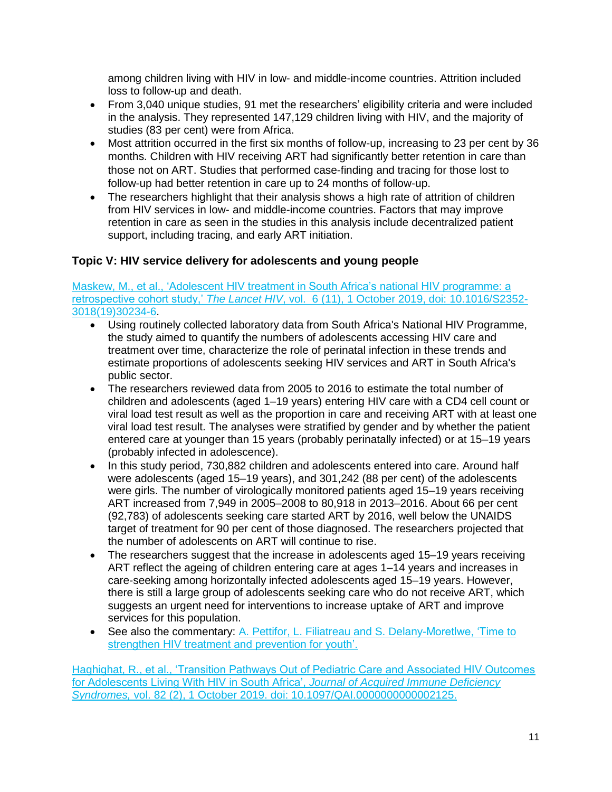among children living with HIV in low- and middle-income countries. Attrition included loss to follow-up and death.

- From 3,040 unique studies, 91 met the researchers' eligibility criteria and were included in the analysis. They represented 147,129 children living with HIV, and the majority of studies (83 per cent) were from Africa.
- Most attrition occurred in the first six months of follow-up, increasing to 23 per cent by 36 months. Children with HIV receiving ART had significantly better retention in care than those not on ART. Studies that performed case-finding and tracing for those lost to follow-up had better retention in care up to 24 months of follow-up.
- The researchers highlight that their analysis shows a high rate of attrition of children from HIV services in low- and middle-income countries. Factors that may improve retention in care as seen in the studies in this analysis include decentralized patient support, including tracing, and early ART initiation.

# <span id="page-10-0"></span>**Topic V: HIV service delivery for adolescents and young people**

Maskew, [M., et al., 'Adolescent HIV treatment in South Africa's national HIV programme: a](https://www.download.thelancet.com/journals/lanhiv/article/PIIS2352-3018(19)30234-6/fulltext)  retrospective cohort study,' *The Lancet HIV*[, vol. 6 \(11\), 1 October 2019, doi: 10.1016/S2352-](https://www.download.thelancet.com/journals/lanhiv/article/PIIS2352-3018(19)30234-6/fulltext) [3018\(19\)30234-6.](https://www.download.thelancet.com/journals/lanhiv/article/PIIS2352-3018(19)30234-6/fulltext)

- Using routinely collected laboratory data from South Africa's National HIV Programme, the study aimed to quantify the numbers of adolescents accessing HIV care and treatment over time, characterize the role of perinatal infection in these trends and estimate proportions of adolescents seeking HIV services and ART in South Africa's public sector.
- The researchers reviewed data from 2005 to 2016 to estimate the total number of children and adolescents (aged 1–19 years) entering HIV care with a CD4 cell count or viral load test result as well as the proportion in care and receiving ART with at least one viral load test result. The analyses were stratified by gender and by whether the patient entered care at younger than 15 years (probably perinatally infected) or at 15–19 years (probably infected in adolescence).
- In this study period, 730,882 children and adolescents entered into care. Around half were adolescents (aged 15–19 years), and 301,242 (88 per cent) of the adolescents were girls. The number of virologically monitored patients aged 15–19 years receiving ART increased from 7,949 in 2005–2008 to 80,918 in 2013–2016. About 66 per cent (92,783) of adolescents seeking care started ART by 2016, well below the UNAIDS target of treatment for 90 per cent of those diagnosed. The researchers projected that the number of adolescents on ART will continue to rise.
- The researchers suggest that the increase in adolescents aged 15–19 years receiving ART reflect the ageing of children entering care at ages 1–14 years and increases in care-seeking among horizontally infected adolescents aged 15–19 years. However, there is still a large group of adolescents seeking care who do not receive ART, which suggests an urgent need for interventions to increase uptake of ART and improve services for this population.
- See also the commentary: A. Pettifor, L. Filiatreau and S. Delany-Moretlwe, 'Time to [strengthen HIV treatment and prevention for youth'.](https://www.thelancet.com/journals/lanhiv/article/PIIS2352-3018(19)30232-2/fulltext)

Haghighat, [R., et al., 'Transition Pathways Out of Pediatric Care and Associated HIV Outcomes](https://www.ncbi.nlm.nih.gov/pubmed/31335586)  [for Adolescents Living With HIV in South Africa',](https://www.ncbi.nlm.nih.gov/pubmed/31335586) *Journal of Acquired Immune Deficiency Syndromes,* [vol. 82 \(2\), 1 October 2019. doi: 10.1097/QAI.0000000000002125.](https://www.ncbi.nlm.nih.gov/pubmed/31335586)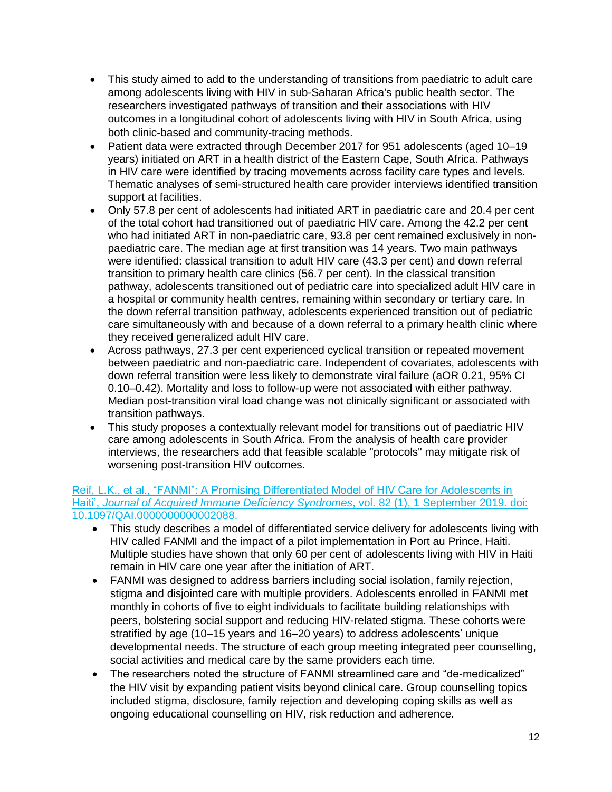- This study aimed to add to the understanding of transitions from paediatric to adult care among adolescents living with HIV in sub-Saharan Africa's public health sector. The researchers investigated pathways of transition and their associations with HIV outcomes in a longitudinal cohort of adolescents living with HIV in South Africa, using both clinic-based and community-tracing methods.
- Patient data were extracted through December 2017 for 951 adolescents (aged 10–19 years) initiated on ART in a health district of the Eastern Cape, South Africa. Pathways in HIV care were identified by tracing movements across facility care types and levels. Thematic analyses of semi-structured health care provider interviews identified transition support at facilities.
- Only 57.8 per cent of adolescents had initiated ART in paediatric care and 20.4 per cent of the total cohort had transitioned out of paediatric HIV care. Among the 42.2 per cent who had initiated ART in non-paediatric care, 93.8 per cent remained exclusively in nonpaediatric care. The median age at first transition was 14 years. Two main pathways were identified: classical transition to adult HIV care (43.3 per cent) and down referral transition to primary health care clinics (56.7 per cent). In the classical transition pathway, adolescents transitioned out of pediatric care into specialized adult HIV care in a hospital or community health centres, remaining within secondary or tertiary care. In the down referral transition pathway, adolescents experienced transition out of pediatric care simultaneously with and because of a down referral to a primary health clinic where they received generalized adult HIV care.
- Across pathways, 27.3 per cent experienced cyclical transition or repeated movement between paediatric and non-paediatric care. Independent of covariates, adolescents with down referral transition were less likely to demonstrate viral failure (aOR 0.21, 95% CI 0.10–0.42). Mortality and loss to follow-up were not associated with either pathway. Median post-transition viral load change was not clinically significant or associated with transition pathways.
- This study proposes a contextually relevant model for transitions out of paediatric HIV care among adolescents in South Africa. From the analysis of health care provider interviews, the researchers add that feasible scalable "protocols" may mitigate risk of worsening post-transition HIV outcomes.

### Reif, [L.K., et al., "FANMI": A Promising Differentiated Model of HIV Care for Adolescents in](https://www.ncbi.nlm.nih.gov/pmc/articles/PMC6692183/)  Haiti', *[Journal of Acquired Immune Deficiency Syndromes](https://www.ncbi.nlm.nih.gov/pmc/articles/PMC6692183/)*, vol. 82 (1), 1 September 2019. doi: [10.1097/QAI.0000000000002088.](https://www.ncbi.nlm.nih.gov/pmc/articles/PMC6692183/)

- This study describes a model of differentiated service delivery for adolescents living with HIV called FANMI and the impact of a pilot implementation in Port au Prince, Haiti. Multiple studies have shown that only 60 per cent of adolescents living with HIV in Haiti remain in HIV care one year after the initiation of ART.
- FANMI was designed to address barriers including social isolation, family rejection, stigma and disjointed care with multiple providers. Adolescents enrolled in FANMI met monthly in cohorts of five to eight individuals to facilitate building relationships with peers, bolstering social support and reducing HIV-related stigma. These cohorts were stratified by age (10–15 years and 16–20 years) to address adolescents' unique developmental needs. The structure of each group meeting integrated peer counselling, social activities and medical care by the same providers each time.
- The researchers noted the structure of FANMI streamlined care and "de-medicalized" the HIV visit by expanding patient visits beyond clinical care. Group counselling topics included stigma, disclosure, family rejection and developing coping skills as well as ongoing educational counselling on HIV, risk reduction and adherence.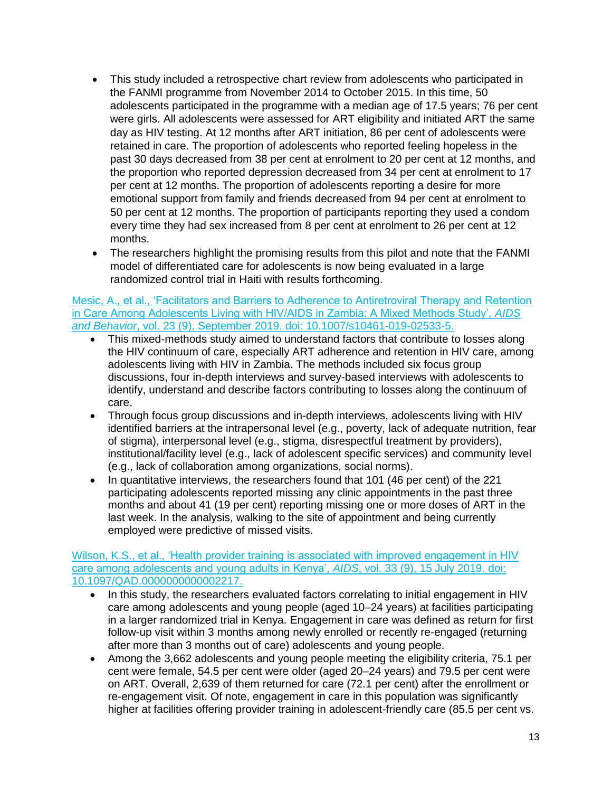- This study included a retrospective chart review from adolescents who participated in the FANMI programme from November 2014 to October 2015. In this time, 50 adolescents participated in the programme with a median age of 17.5 years; 76 per cent were girls. All adolescents were assessed for ART eligibility and initiated ART the same day as HIV testing. At 12 months after ART initiation, 86 per cent of adolescents were retained in care. The proportion of adolescents who reported feeling hopeless in the past 30 days decreased from 38 per cent at enrolment to 20 per cent at 12 months, and the proportion who reported depression decreased from 34 per cent at enrolment to 17 per cent at 12 months. The proportion of adolescents reporting a desire for more emotional support from family and friends decreased from 94 per cent at enrolment to 50 per cent at 12 months. The proportion of participants reporting they used a condom every time they had sex increased from 8 per cent at enrolment to 26 per cent at 12 months.
- The researchers highlight the promising results from this pilot and note that the FANMI model of differentiated care for adolescents is now being evaluated in a large randomized control trial in Haiti with results forthcoming.

#### [Mesic, A., et al., 'Facilitators and Barriers to Adherence to Antiretroviral Therapy and Retention](https://www.ncbi.nlm.nih.gov/pubmed/31093820)  [in Care Among Adolescents Living with HIV/AIDS in Zambia: A Mixed Methods Study',](https://www.ncbi.nlm.nih.gov/pubmed/31093820) *AIDS and Behavior*[, vol. 23 \(9\), September 2019. doi: 10.1007/s10461-019-02533-5.](https://www.ncbi.nlm.nih.gov/pubmed/31093820)

- This mixed-methods study aimed to understand factors that contribute to losses along the HIV continuum of care, especially ART adherence and retention in HIV care, among adolescents living with HIV in Zambia. The methods included six focus group discussions, four in-depth interviews and survey-based interviews with adolescents to identify, understand and describe factors contributing to losses along the continuum of care.
- Through focus group discussions and in-depth interviews, adolescents living with HIV identified barriers at the intrapersonal level (e.g., poverty, lack of adequate nutrition, fear of stigma), interpersonal level (e.g., stigma, disrespectful treatment by providers), institutional/facility level (e.g., lack of adolescent specific services) and community level (e.g., lack of collaboration among organizations, social norms).
- In quantitative interviews, the researchers found that 101 (46 per cent) of the 221 participating adolescents reported missing any clinic appointments in the past three months and about 41 (19 per cent) reporting missing one or more doses of ART in the last week. In the analysis, walking to the site of appointment and being currently employed were predictive of missed visits.

#### Wilson, K.S., et al., 'Health provider training is associated with improved engagement in HIV [care among adolescents and young adults in Kenya',](https://www.ncbi.nlm.nih.gov/pubmed/30932957) *AIDS*, vol. 33 (9), 15 July 2019. doi: [10.1097/QAD.0000000000002217.](https://www.ncbi.nlm.nih.gov/pubmed/30932957)

- In this study, the researchers evaluated factors correlating to initial engagement in HIV care among adolescents and young people (aged 10–24 years) at facilities participating in a larger randomized trial in Kenya. Engagement in care was defined as return for first follow-up visit within 3 months among newly enrolled or recently re-engaged (returning after more than 3 months out of care) adolescents and young people.
- Among the 3,662 adolescents and young people meeting the eligibility criteria, 75.1 per cent were female, 54.5 per cent were older (aged 20–24 years) and 79.5 per cent were on ART. Overall, 2,639 of them returned for care (72.1 per cent) after the enrollment or re-engagement visit. Of note, engagement in care in this population was significantly higher at facilities offering provider training in adolescent-friendly care (85.5 per cent vs.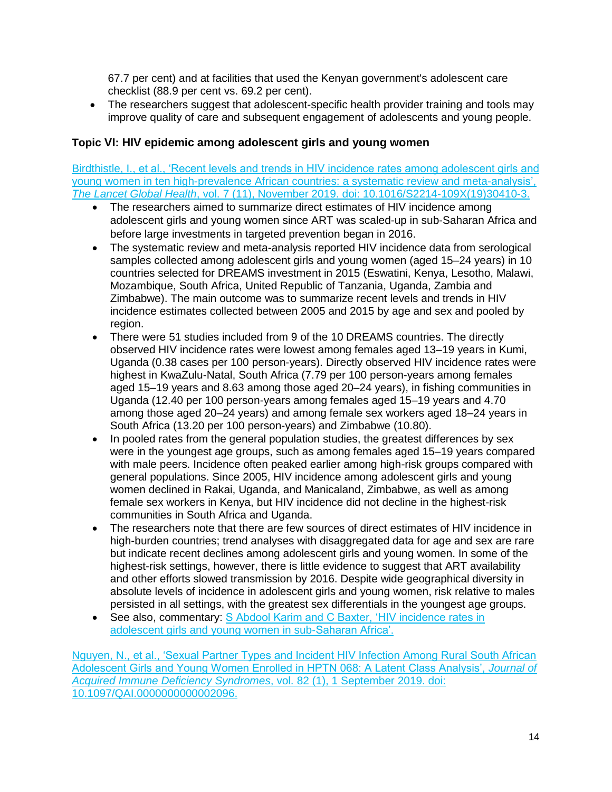67.7 per cent) and at facilities that used the Kenyan government's adolescent care checklist (88.9 per cent vs. 69.2 per cent).

• The researchers suggest that adolescent-specific health provider training and tools may improve quality of care and subsequent engagement of adolescents and young people.

### <span id="page-13-0"></span>**Topic VI: HIV epidemic among adolescent girls and young women**

[Birdthistle, I., et al., 'Recent levels and trends in HIV incidence rates among adolescent girls and](https://www.sciencedirect.com/science/article/pii/S2214109X19304103?via%3Dihub)  [young women in ten high-prevalence African countries: a systematic review and meta-analysis',](https://www.sciencedirect.com/science/article/pii/S2214109X19304103?via%3Dihub)  *The Lancet Global Health*[, vol. 7 \(11\), November 2019. doi: 10.1016/S2214-109X\(19\)30410-3.](https://www.sciencedirect.com/science/article/pii/S2214109X19304103?via%3Dihub)

- The researchers aimed to summarize direct estimates of HIV incidence among adolescent girls and young women since ART was scaled-up in sub-Saharan Africa and before large investments in targeted prevention began in 2016.
- The systematic review and meta-analysis reported HIV incidence data from serological samples collected among adolescent girls and young women (aged 15–24 years) in 10 countries selected for DREAMS investment in 2015 (Eswatini, Kenya, Lesotho, Malawi, Mozambique, South Africa, United Republic of Tanzania, Uganda, Zambia and Zimbabwe). The main outcome was to summarize recent levels and trends in HIV incidence estimates collected between 2005 and 2015 by age and sex and pooled by region.
- There were 51 studies included from 9 of the 10 DREAMS countries. The directly observed HIV incidence rates were lowest among females aged 13–19 years in Kumi, Uganda (0.38 cases per 100 person-years). Directly observed HIV incidence rates were highest in KwaZulu-Natal, South Africa (7.79 per 100 person-years among females aged 15–19 years and 8.63 among those aged 20–24 years), in fishing communities in Uganda (12.40 per 100 person-years among females aged 15–19 years and 4.70 among those aged 20–24 years) and among female sex workers aged 18–24 years in South Africa (13.20 per 100 person-years) and Zimbabwe (10.80).
- In pooled rates from the general population studies, the greatest differences by sex were in the youngest age groups, such as among females aged 15–19 years compared with male peers. Incidence often peaked earlier among high-risk groups compared with general populations. Since 2005, HIV incidence among adolescent girls and young women declined in Rakai, Uganda, and Manicaland, Zimbabwe, as well as among female sex workers in Kenya, but HIV incidence did not decline in the highest-risk communities in South Africa and Uganda.
- The researchers note that there are few sources of direct estimates of HIV incidence in high-burden countries; trend analyses with disaggregated data for age and sex are rare but indicate recent declines among adolescent girls and young women. In some of the highest-risk settings, however, there is little evidence to suggest that ART availability and other efforts slowed transmission by 2016. Despite wide geographical diversity in absolute levels of incidence in adolescent girls and young women, risk relative to males persisted in all settings, with the greatest sex differentials in the youngest age groups.
- See also, commentary: S Abdool Karim and C Baxter, 'HIV incidence rates in [adolescent girls and young women in sub-Saharan Africa'.](https://doi.org/10.1016/S2214-109X(19)30404-8)

[Nguyen, N., et al., 'Sexual Partner Types and Incident HIV Infection Among Rural South African](https://www.ncbi.nlm.nih.gov/pubmed/31169772)  [Adolescent Girls and Young Women Enrolled in HPTN 068: A Latent Class Analysis',](https://www.ncbi.nlm.nih.gov/pubmed/31169772) *Journal of [Acquired Immune Deficiency Syndromes](https://www.ncbi.nlm.nih.gov/pubmed/31169772)*, vol. 82 (1), 1 September 2019. doi: [10.1097/QAI.0000000000002096.](https://www.ncbi.nlm.nih.gov/pubmed/31169772)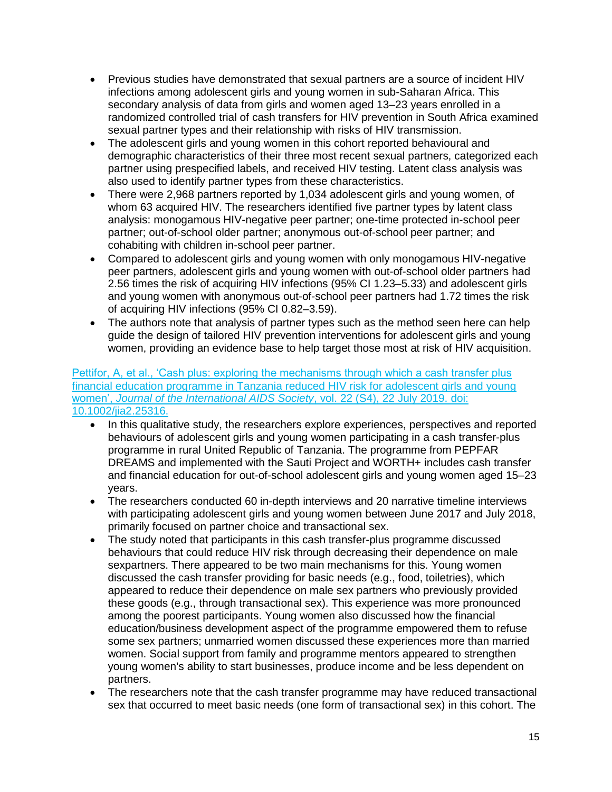- Previous studies have demonstrated that sexual partners are a source of incident HIV infections among adolescent girls and young women in sub-Saharan Africa. This secondary analysis of data from girls and women aged 13–23 years enrolled in a randomized controlled trial of cash transfers for HIV prevention in South Africa examined sexual partner types and their relationship with risks of HIV transmission.
- The adolescent girls and young women in this cohort reported behavioural and demographic characteristics of their three most recent sexual partners, categorized each partner using prespecified labels, and received HIV testing. Latent class analysis was also used to identify partner types from these characteristics.
- There were 2,968 partners reported by 1,034 adolescent girls and young women, of whom 63 acquired HIV. The researchers identified five partner types by latent class analysis: monogamous HIV-negative peer partner; one-time protected in-school peer partner; out-of-school older partner; anonymous out-of-school peer partner; and cohabiting with children in-school peer partner.
- Compared to adolescent girls and young women with only monogamous HIV-negative peer partners, adolescent girls and young women with out-of-school older partners had 2.56 times the risk of acquiring HIV infections (95% CI 1.23–5.33) and adolescent girls and young women with anonymous out-of-school peer partners had 1.72 times the risk of acquiring HIV infections (95% CI 0.82–3.59).
- The authors note that analysis of partner types such as the method seen here can help guide the design of tailored HIV prevention interventions for adolescent girls and young women, providing an evidence base to help target those most at risk of HIV acquisition.

[Pettifor, A, et al., 'Cash plus: exploring the mechanisms through which a cash transfer plus](https://www.ncbi.nlm.nih.gov/pubmed/31328425)  [financial education programme in Tanzania reduced HIV risk for adolescent girls and young](https://www.ncbi.nlm.nih.gov/pubmed/31328425)  women', *[Journal of the International AIDS Society](https://www.ncbi.nlm.nih.gov/pubmed/31328425)*, vol. 22 (S4), 22 July 2019. doi: [10.1002/jia2.25316.](https://www.ncbi.nlm.nih.gov/pubmed/31328425)

- In this qualitative study, the researchers explore experiences, perspectives and reported behaviours of adolescent girls and young women participating in a cash transfer-plus programme in rural United Republic of Tanzania. The programme from PEPFAR DREAMS and implemented with the Sauti Project and WORTH+ includes cash transfer and financial education for out-of-school adolescent girls and young women aged 15–23 years.
- The researchers conducted 60 in-depth interviews and 20 narrative timeline interviews with participating adolescent girls and young women between June 2017 and July 2018, primarily focused on partner choice and transactional sex.
- The study noted that participants in this cash transfer-plus programme discussed behaviours that could reduce HIV risk through decreasing their dependence on male sexpartners. There appeared to be two main mechanisms for this. Young women discussed the cash transfer providing for basic needs (e.g., food, toiletries), which appeared to reduce their dependence on male sex partners who previously provided these goods (e.g., through transactional sex). This experience was more pronounced among the poorest participants. Young women also discussed how the financial education/business development aspect of the programme empowered them to refuse some sex partners; unmarried women discussed these experiences more than married women. Social support from family and programme mentors appeared to strengthen young women's ability to start businesses, produce income and be less dependent on partners.
- The researchers note that the cash transfer programme may have reduced transactional sex that occurred to meet basic needs (one form of transactional sex) in this cohort. The